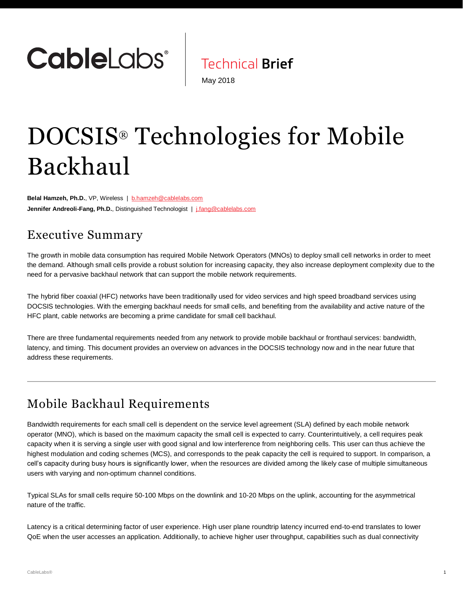

**Technical Brief** 

May 2018

# DOCSIS® Technologies for Mobile Backhaul

Belal Hamzeh, Ph.D., VP, Wireless | [b.hamzeh@cablelabs.com](mailto:b.hamzeh@cablelabs.com) **Jennifer Andreoli-Fang, Ph.D.**, Distinguished Technologist | [j.fang@cablelabs.com](mailto:j.fang@cablelabs.com)

### Executive Summary

The growth in mobile data consumption has required Mobile Network Operators (MNOs) to deploy small cell networks in order to meet the demand. Although small cells provide a robust solution for increasing capacity, they also increase deployment complexity due to the need for a pervasive backhaul network that can support the mobile network requirements.

The hybrid fiber coaxial (HFC) networks have been traditionally used for video services and high speed broadband services using DOCSIS technologies. With the emerging backhaul needs for small cells, and benefiting from the availability and active nature of the HFC plant, cable networks are becoming a prime candidate for small cell backhaul.

There are three fundamental requirements needed from any network to provide mobile backhaul or fronthaul services: bandwidth, latency, and timing. This document provides an overview on advances in the DOCSIS technology now and in the near future that address these requirements.

# Mobile Backhaul Requirements

Bandwidth requirements for each small cell is dependent on the service level agreement (SLA) defined by each mobile network operator (MNO), which is based on the maximum capacity the small cell is expected to carry. Counterintuitively, a cell requires peak capacity when it is serving a single user with good signal and low interference from neighboring cells. This user can thus achieve the highest modulation and coding schemes (MCS), and corresponds to the peak capacity the cell is required to support. In comparison, a cell's capacity during busy hours is significantly lower, when the resources are divided among the likely case of multiple simultaneous users with varying and non-optimum channel conditions.

Typical SLAs for small cells require 50-100 Mbps on the downlink and 10-20 Mbps on the uplink, accounting for the asymmetrical nature of the traffic.

Latency is a critical determining factor of user experience. High user plane roundtrip latency incurred end-to-end translates to lower QoE when the user accesses an application. Additionally, to achieve higher user throughput, capabilities such as dual connectivity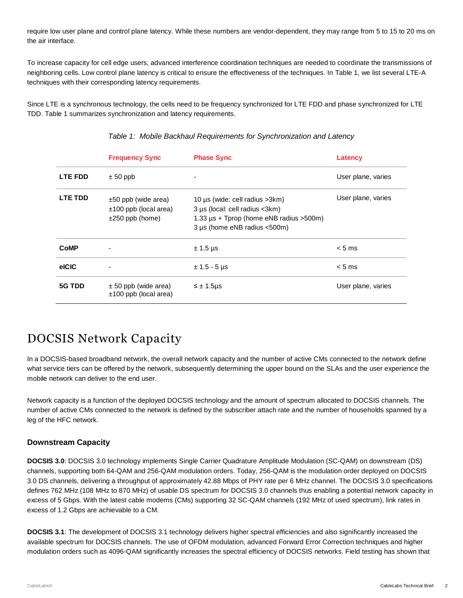require low user plane and control plane latency. While these numbers are vendor-dependent, they may range from 5 to 15 to 20 ms on the air interface.

To increase capacity for cell edge users, advanced interference coordination techniques are needed to coordinate the transmissions of neighboring cells. Low control plane latency is critical to ensure the effectiveness of the techniques. In [Table](#page-1-0) 1, we list several LTE-A techniques with their corresponding latency requirements.

<span id="page-1-0"></span>Since LTE is a synchronous technology, the cells need to be frequency synchronized for LTE FDD and phase synchronized for LTE TDD. [Table](#page-1-0) 1 summarizes synchronization and latency requirements.

|                | <b>Frequency Sync</b>                                                       | <b>Phase Sync</b>                                                                                                                                        | Latency            |
|----------------|-----------------------------------------------------------------------------|----------------------------------------------------------------------------------------------------------------------------------------------------------|--------------------|
| <b>LTE FDD</b> | $± 50$ ppb                                                                  |                                                                                                                                                          | User plane, varies |
| <b>LTE TDD</b> | $\pm 50$ ppb (wide area)<br>$±100$ ppb (local area)<br>$\pm 250$ ppb (home) | 10 $\mu$ s (wide: cell radius > 3 km)<br>3 µs (local: cell radius <3km)<br>1.33 $\mu$ s + Tprop (home eNB radius > 500m)<br>3 µs (home eNB radius <500m) | User plane, varies |
| <b>CoMP</b>    |                                                                             | $± 1.5 \,\mu s$                                                                                                                                          | $< 5$ ms           |
| elCIC          | ٠                                                                           | $± 1.5 - 5 \,\mu s$                                                                                                                                      | $< 5$ ms           |
| 5G TDD         | $\pm$ 50 ppb (wide area)<br>$±100$ ppb (local area)                         | $\leq \pm 1.5$ µs                                                                                                                                        | User plane, varies |

#### *Table 1: Mobile Backhaul Requirements for Synchronization and Latency*

### DOCSIS Network Capacity

In a DOCSIS-based broadband network, the overall network capacity and the number of active CMs connected to the network define what service tiers can be offered by the network, subsequently determining the upper bound on the SLAs and the user experience the mobile network can deliver to the end user.

Network capacity is a function of the deployed DOCSIS technology and the amount of spectrum allocated to DOCSIS channels. The number of active CMs connected to the network is defined by the subscriber attach rate and the number of households spanned by a leg of the HFC network.

#### **Downstream Capacity**

**DOCSIS 3.0**: DOCSIS 3.0 technology implements Single Carrier Quadrature Amplitude Modulation (SC-QAM) on downstream (DS) channels, supporting both 64-QAM and 256-QAM modulation orders. Today, 256-QAM is the modulation order deployed on DOCSIS 3.0 DS channels, delivering a throughput of approximately 42.88 Mbps of PHY rate per 6 MHz channel. The DOCSIS 3.0 specifications defines 762 MHz (108 MHz to 870 MHz) of usable DS spectrum for DOCSIS 3.0 channels thus enabling a potential network capacity in excess of 5 Gbps. With the latest cable modems (CMs) supporting 32 SC-QAM channels (192 MHz of used spectrum), link rates in excess of 1.2 Gbps are achievable to a CM.

**DOCSIS 3.1**: The development of DOCSIS 3.1 technology delivers higher spectral efficiencies and also significantly increased the available spectrum for DOCSIS channels. The use of OFDM modulation, advanced Forward Error Correction techniques and higher modulation orders such as 4096-QAM significantly increases the spectral efficiency of DOCSIS networks. Field testing has shown that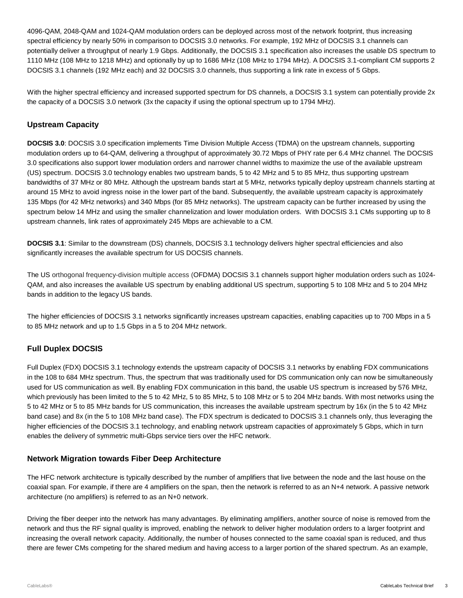4096-QAM, 2048-QAM and 1024-QAM modulation orders can be deployed across most of the network footprint, thus increasing spectral efficiency by nearly 50% in comparison to DOCSIS 3.0 networks. For example, 192 MHz of DOCSIS 3.1 channels can potentially deliver a throughput of nearly 1.9 Gbps. Additionally, the DOCSIS 3.1 specification also increases the usable DS spectrum to 1110 MHz (108 MHz to 1218 MHz) and optionally by up to 1686 MHz (108 MHz to 1794 MHz). A DOCSIS 3.1-compliant CM supports 2 DOCSIS 3.1 channels (192 MHz each) and 32 DOCSIS 3.0 channels, thus supporting a link rate in excess of 5 Gbps.

With the higher spectral efficiency and increased supported spectrum for DS channels, a DOCSIS 3.1 system can potentially provide 2x the capacity of a DOCSIS 3.0 network (3x the capacity if using the optional spectrum up to 1794 MHz).

#### **Upstream Capacity**

**DOCSIS 3.0**: DOCSIS 3.0 specification implements Time Division Multiple Access (TDMA) on the upstream channels, supporting modulation orders up to 64-QAM, delivering a throughput of approximately 30.72 Mbps of PHY rate per 6.4 MHz channel. The DOCSIS 3.0 specifications also support lower modulation orders and narrower channel widths to maximize the use of the available upstream (US) spectrum. DOCSIS 3.0 technology enables two upstream bands, 5 to 42 MHz and 5 to 85 MHz, thus supporting upstream bandwidths of 37 MHz or 80 MHz. Although the upstream bands start at 5 MHz, networks typically deploy upstream channels starting at around 15 MHz to avoid ingress noise in the lower part of the band. Subsequently, the available upstream capacity is approximately 135 Mbps (for 42 MHz networks) and 340 Mbps (for 85 MHz networks). The upstream capacity can be further increased by using the spectrum below 14 MHz and using the smaller channelization and lower modulation orders. With DOCSIS 3.1 CMs supporting up to 8 upstream channels, link rates of approximately 245 Mbps are achievable to a CM.

**DOCSIS 3.1**: Similar to the downstream (DS) channels, DOCSIS 3.1 technology delivers higher spectral efficiencies and also significantly increases the available spectrum for US DOCSIS channels.

The US orthogonal frequency-division multiple access (OFDMA) DOCSIS 3.1 channels support higher modulation orders such as 1024- QAM, and also increases the available US spectrum by enabling additional US spectrum, supporting 5 to 108 MHz and 5 to 204 MHz bands in addition to the legacy US bands.

The higher efficiencies of DOCSIS 3.1 networks significantly increases upstream capacities, enabling capacities up to 700 Mbps in a 5 to 85 MHz network and up to 1.5 Gbps in a 5 to 204 MHz network.

#### **Full Duplex DOCSIS**

Full Duplex (FDX) DOCSIS 3.1 technology extends the upstream capacity of DOCSIS 3.1 networks by enabling FDX communications in the 108 to 684 MHz spectrum. Thus, the spectrum that was traditionally used for DS communication only can now be simultaneously used for US communication as well. By enabling FDX communication in this band, the usable US spectrum is increased by 576 MHz, which previously has been limited to the 5 to 42 MHz, 5 to 85 MHz, 5 to 108 MHz or 5 to 204 MHz bands. With most networks using the 5 to 42 MHz or 5 to 85 MHz bands for US communication, this increases the available upstream spectrum by 16x (in the 5 to 42 MHz band case) and 8x (in the 5 to 108 MHz band case). The FDX spectrum is dedicated to DOCSIS 3.1 channels only, thus leveraging the higher efficiencies of the DOCSIS 3.1 technology, and enabling network upstream capacities of approximately 5 Gbps, which in turn enables the delivery of symmetric multi-Gbps service tiers over the HFC network.

#### **Network Migration towards Fiber Deep Architecture**

The HFC network architecture is typically described by the number of amplifiers that live between the node and the last house on the coaxial span. For example, if there are 4 amplifiers on the span, then the network is referred to as an N+4 network. A passive network architecture (no amplifiers) is referred to as an N+0 network.

Driving the fiber deeper into the network has many advantages. By eliminating amplifiers, another source of noise is removed from the network and thus the RF signal quality is improved, enabling the network to deliver higher modulation orders to a larger footprint and increasing the overall network capacity. Additionally, the number of houses connected to the same coaxial span is reduced, and thus there are fewer CMs competing for the shared medium and having access to a larger portion of the shared spectrum. As an example,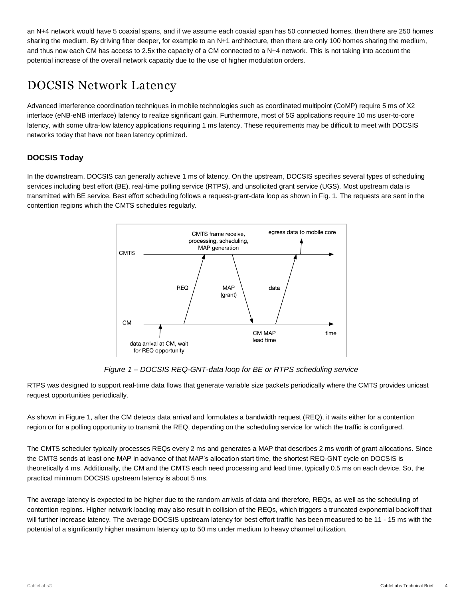an N+4 network would have 5 coaxial spans, and if we assume each coaxial span has 50 connected homes, then there are 250 homes sharing the medium. By driving fiber deeper, for example to an N+1 architecture, then there are only 100 homes sharing the medium, and thus now each CM has access to 2.5x the capacity of a CM connected to a N+4 network. This is not taking into account the potential increase of the overall network capacity due to the use of higher modulation orders.

### DOCSIS Network Latency

Advanced interference coordination techniques in mobile technologies such as coordinated multipoint (CoMP) require 5 ms of X2 interface (eNB-eNB interface) latency to realize significant gain. Furthermore, most of 5G applications require 10 ms user-to-core latency, with some ultra-low latency applications requiring 1 ms latency. These requirements may be difficult to meet with DOCSIS networks today that have not been latency optimized.

#### **DOCSIS Today**

In the downstream, DOCSIS can generally achieve 1 ms of latency. On the upstream, DOCSIS specifies several types of scheduling services including best effort (BE), real-time polling service (RTPS), and unsolicited grant service (UGS). Most upstream data is transmitted with BE service. Best effort scheduling follows a request-grant-data loop as shown in Fig. 1. The requests are sent in the contention regions which the CMTS schedules regularly.



*Figure 1 – DOCSIS REQ-GNT-data loop for BE or RTPS scheduling service*

<span id="page-3-0"></span>RTPS was designed to support real-time data flows that generate variable size packets periodically where the CMTS provides unicast request opportunities periodically.

As shown in [Figure 1,](#page-3-0) after the CM detects data arrival and formulates a bandwidth request (REQ), it waits either for a contention region or for a polling opportunity to transmit the REQ, depending on the scheduling service for which the traffic is configured.

The CMTS scheduler typically processes REQs every 2 ms and generates a MAP that describes 2 ms worth of grant allocations. Since the CMTS sends at least one MAP in advance of that MAP's allocation start time, the shortest REQ-GNT cycle on DOCSIS is theoretically 4 ms. Additionally, the CM and the CMTS each need processing and lead time, typically 0.5 ms on each device. So, the practical minimum DOCSIS upstream latency is about 5 ms.

The average latency is expected to be higher due to the random arrivals of data and therefore, REQs, as well as the scheduling of contention regions. Higher network loading may also result in collision of the REQs, which triggers a truncated exponential backoff that will further increase latency. The average DOCSIS upstream latency for best effort traffic has been measured to be 11 - 15 ms with the potential of a significantly higher maximum latency up to 50 ms under medium to heavy channel utilization.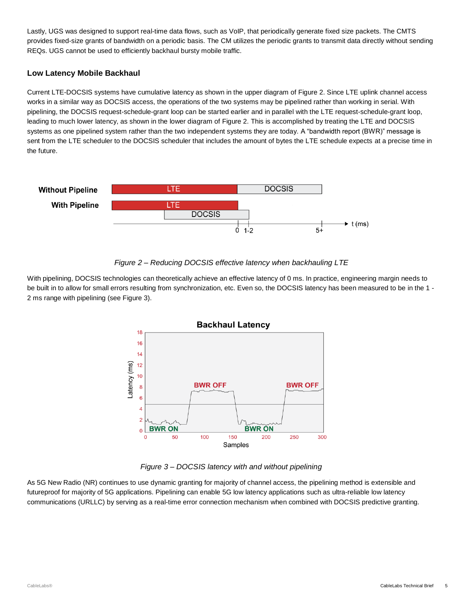Lastly, UGS was designed to support real-time data flows, such as VoIP, that periodically generate fixed size packets. The CMTS provides fixed-size grants of bandwidth on a periodic basis. The CM utilizes the periodic grants to transmit data directly without sending REQs. UGS cannot be used to efficiently backhaul bursty mobile traffic.

#### **Low Latency Mobile Backhaul**

Current LTE-DOCSIS systems have cumulative latency as shown in the upper diagram of [Figure 2.](#page-4-0) Since LTE uplink channel access works in a similar way as DOCSIS access, the operations of the two systems may be pipelined rather than working in serial. With pipelining, the DOCSIS request-schedule-grant loop can be started earlier and in parallel with the LTE request-schedule-grant loop, leading to much lower latency, as shown in the lower diagram of [Figure 2.](#page-4-0) This is accomplished by treating the LTE and DOCSIS systems as one pipelined system rather than the two independent systems they are today. A "bandwidth report (BWR)" message is sent from the LTE scheduler to the DOCSIS scheduler that includes the amount of bytes the LTE schedule expects at a precise time in the future.





<span id="page-4-0"></span>With pipelining, DOCSIS technologies can theoretically achieve an effective latency of 0 ms. In practice, engineering margin needs to be built in to allow for small errors resulting from synchronization, etc. Even so, the DOCSIS latency has been measured to be in the 1 -2 ms range with pipelining (see [Figure 3\)](#page-4-1).



<span id="page-4-1"></span>*Figure 3 – DOCSIS latency with and without pipelining*

As 5G New Radio (NR) continues to use dynamic granting for majority of channel access, the pipelining method is extensible and futureproof for majority of 5G applications. Pipelining can enable 5G low latency applications such as ultra-reliable low latency communications (URLLC) by serving as a real-time error connection mechanism when combined with DOCSIS predictive granting.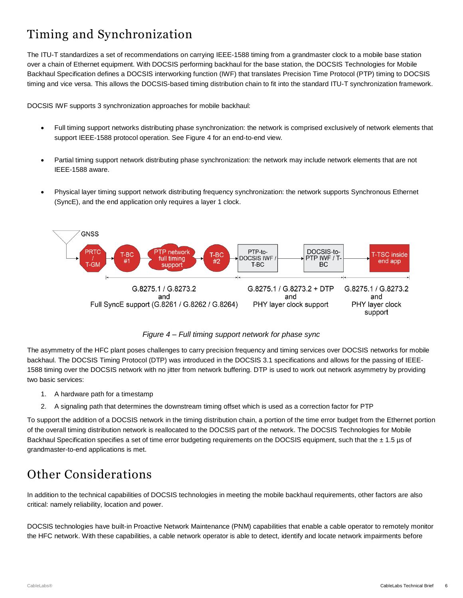# Timing and Synchronization

The ITU-T standardizes a set of recommendations on carrying IEEE-1588 timing from a grandmaster clock to a mobile base station over a chain of Ethernet equipment. With DOCSIS performing backhaul for the base station, the DOCSIS Technologies for Mobile Backhaul Specification defines a DOCSIS interworking function (IWF) that translates Precision Time Protocol (PTP) timing to DOCSIS timing and vice versa. This allows the DOCSIS-based timing distribution chain to fit into the standard ITU-T synchronization framework.

DOCSIS IWF supports 3 synchronization approaches for mobile backhaul:

- Full timing support networks distributing phase synchronization: the network is comprised exclusively of network elements that support IEEE-1588 protocol operation. See [Figure 4](#page-5-0) for an end-to-end view.
- Partial timing support network distributing phase synchronization: the network may include network elements that are not IEEE-1588 aware.
- Physical layer timing support network distributing frequency synchronization: the network supports Synchronous Ethernet (SyncE), and the end application only requires a layer 1 clock.



*Figure 4 – Full timing support network for phase sync*

<span id="page-5-0"></span>The asymmetry of the HFC plant poses challenges to carry precision frequency and timing services over DOCSIS networks for mobile backhaul. The DOCSIS Timing Protocol (DTP) was introduced in the DOCSIS 3.1 specifications and allows for the passing of IEEE-1588 timing over the DOCSIS network with no jitter from network buffering. DTP is used to work out network asymmetry by providing two basic services:

- 1. A hardware path for a timestamp
- 2. A signaling path that determines the downstream timing offset which is used as a correction factor for PTP

To support the addition of a DOCSIS network in the timing distribution chain, a portion of the time error budget from the Ethernet portion of the overall timing distribution network is reallocated to the DOCSIS part of the network. The DOCSIS Technologies for Mobile Backhaul Specification specifies a set of time error budgeting requirements on the DOCSIS equipment, such that the  $\pm$  1.5 µs of grandmaster-to-end applications is met.

# Other Considerations

In addition to the technical capabilities of DOCSIS technologies in meeting the mobile backhaul requirements, other factors are also critical: namely reliability, location and power.

DOCSIS technologies have built-in Proactive Network Maintenance (PNM) capabilities that enable a cable operator to remotely monitor the HFC network. With these capabilities, a cable network operator is able to detect, identify and locate network impairments before